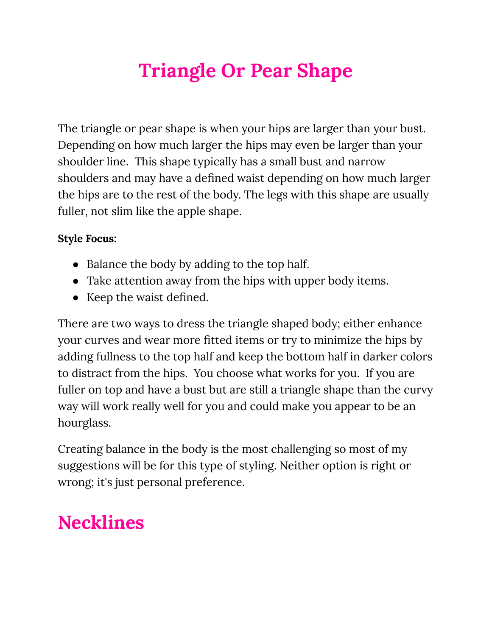# **Triangle Or Pear Shape**

The triangle or pear shape is when your hips are larger than your bust. Depending on how much larger the hips may even be larger than your shoulder line. This shape typically has a small bust and narrow shoulders and may have a defined waist depending on how much larger the hips are to the rest of the body. The legs with this shape are usually fuller, not slim like the apple shape.

#### **Style Focus:**

- Balance the body by adding to the top half.
- Take attention away from the hips with upper body items.
- Keep the waist defined.

There are two ways to dress the triangle shaped body; either enhance your curves and wear more fitted items or try to minimize the hips by adding fullness to the top half and keep the bottom half in darker colors to distract from the hips. You choose what works for you. If you are fuller on top and have a bust but are still a triangle shape than the curvy way will work really well for you and could make you appear to be an hourglass.

Creating balance in the body is the most challenging so most of my suggestions will be for this type of styling. Neither option is right or wrong; it's just personal preference.

## **Necklines**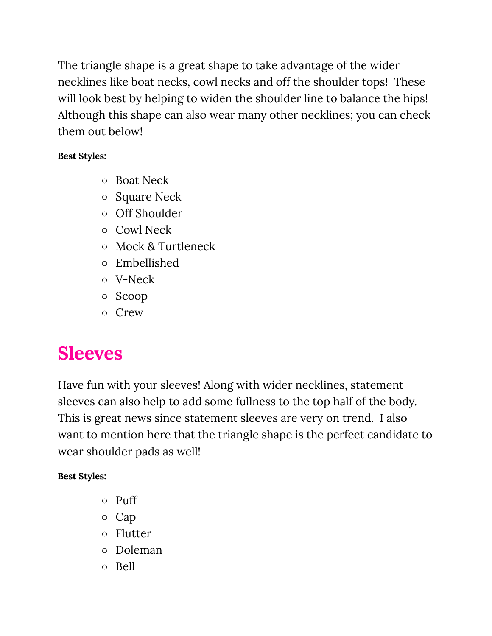The triangle shape is a great shape to take advantage of the wider necklines like boat necks, cowl necks and off the shoulder tops! These will look best by helping to widen the shoulder line to balance the hips! Although this shape can also wear many other necklines; you can check them out below!

#### **Best Styles:**

- Boat Neck
- Square Neck
- Off Shoulder
- Cowl Neck
- Mock & Turtleneck
- Embellished
- V-Neck
- Scoop
- Crew

# **Sleeves**

Have fun with your sleeves! Along with wider necklines, statement sleeves can also help to add some fullness to the top half of the body. This is great news since statement sleeves are very on trend. I also want to mention here that the triangle shape is the perfect candidate to wear shoulder pads as well!

- Puff
- Cap
- Flutter
- Doleman
- Bell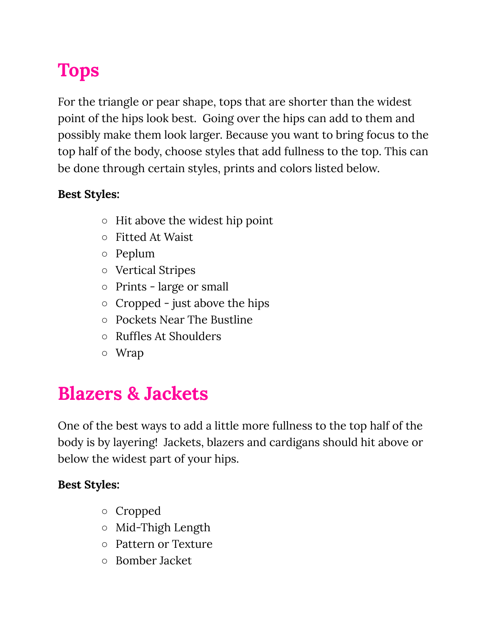# **Tops**

For the triangle or pear shape, tops that are shorter than the widest point of the hips look best. Going over the hips can add to them and possibly make them look larger. Because you want to bring focus to the top half of the body, choose styles that add fullness to the top. This can be done through certain styles, prints and colors listed below.

### **Best Styles:**

- $\circ$  Hit above the widest hip point
- Fitted At Waist
- Peplum
- Vertical Stripes
- Prints large or small
- $\circ$  Cropped just above the hips
- Pockets Near The Bustline
- Ruffles At Shoulders
- Wrap

### **Blazers & Jackets**

One of the best ways to add a little more fullness to the top half of the body is by layering! Jackets, blazers and cardigans should hit above or below the widest part of your hips.

- Cropped
- Mid-Thigh Length
- Pattern or Texture
- Bomber Jacket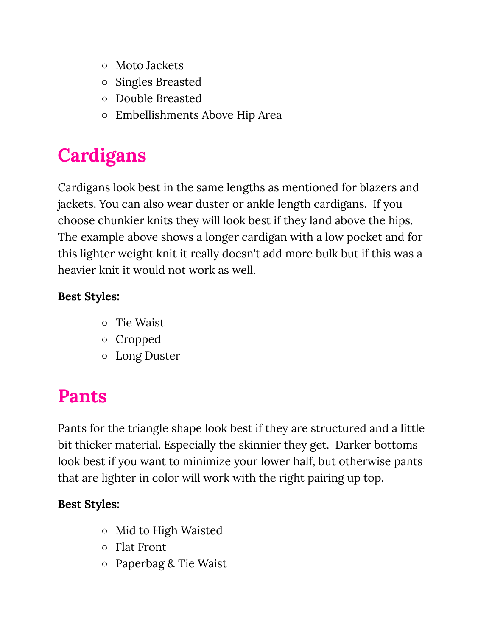- Moto Jackets
- Singles Breasted
- Double Breasted
- Embellishments Above Hip Area

# **Cardigans**

Cardigans look best in the same lengths as mentioned for blazers and jackets. You can also wear duster or ankle length cardigans. If you choose chunkier knits they will look best if they land above the hips. The example above shows a longer cardigan with a low pocket and for this lighter weight knit it really doesn't add more bulk but if this was a heavier knit it would not work as well.

### **Best Styles:**

- Tie Waist
- Cropped
- Long Duster

## **Pants**

Pants for the triangle shape look best if they are structured and a little bit thicker material. Especially the skinnier they get. Darker bottoms look best if you want to minimize your lower half, but otherwise pants that are lighter in color will work with the right pairing up top.

- Mid to High Waisted
- Flat Front
- Paperbag & Tie Waist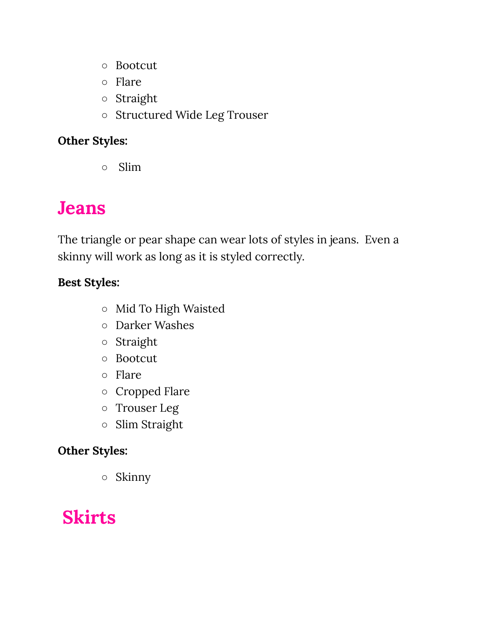- Bootcut
- Flare
- Straight
- Structured Wide Leg Trouser

### **Other Styles:**

○ Slim

## **Jeans**

The triangle or pear shape can wear lots of styles in jeans. Even a skinny will work as long as it is styled correctly.

### **Best Styles:**

- Mid To High Waisted
- Darker Washes
- Straight
- Bootcut
- Flare
- Cropped Flare
- Trouser Leg
- Slim Straight

### **Other Styles:**

○ Skinny

## **Skirts**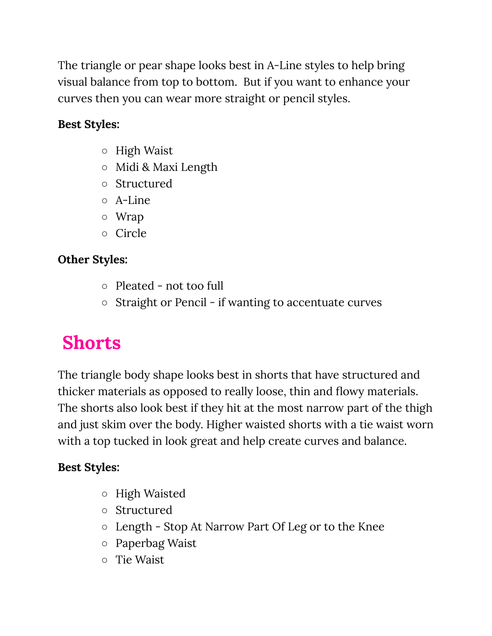The triangle or pear shape looks best in A-Line styles to help bring visual balance from top to bottom. But if you want to enhance your curves then you can wear more straight or pencil styles.

### **Best Styles:**

- High Waist
- Midi & Maxi Length
- Structured
- A-Line
- Wrap
- Circle

### **Other Styles:**

- Pleated not too full
- Straight or Pencil if wanting to accentuate curves

## **Shorts**

The triangle body shape looks best in shorts that have structured and thicker materials as opposed to really loose, thin and flowy materials. The shorts also look best if they hit at the most narrow part of the thigh and just skim over the body. Higher waisted shorts with a tie waist worn with a top tucked in look great and help create curves and balance.

- High Waisted
- Structured
- Length Stop At Narrow Part Of Leg or to the Knee
- Paperbag Waist
- Tie Waist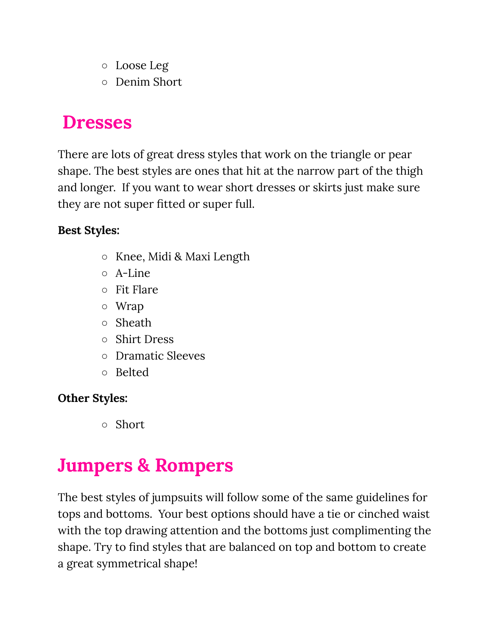- Loose Leg
- Denim Short

### **Dresses**

There are lots of great dress styles that work on the triangle or pear shape. The best styles are ones that hit at the narrow part of the thigh and longer. If you want to wear short dresses or skirts just make sure they are not super fitted or super full.

### **Best Styles:**

- Knee, Midi & Maxi Length
- A-Line
- Fit Flare
- Wrap
- Sheath
- Shirt Dress
- Dramatic Sleeves
- Belted

### **Other Styles:**

○ Short

# **Jumpers & Rompers**

The best styles of jumpsuits will follow some of the same guidelines for tops and bottoms. Your best options should have a tie or cinched waist with the top drawing attention and the bottoms just complimenting the shape. Try to find styles that are balanced on top and bottom to create a great symmetrical shape!